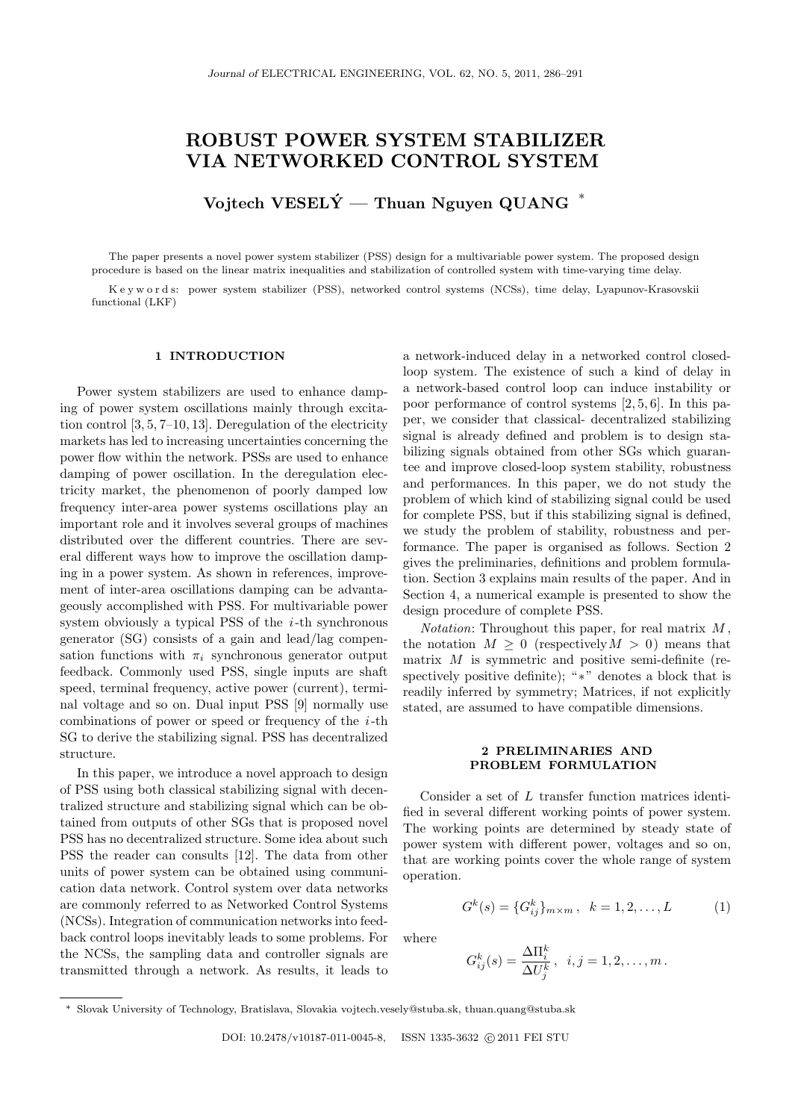# **ROBUST POWER SYSTEM STABILIZER VIA NETWORKED CONTROL SYSTEM**

**Vojtech VESELY — Thuan Nguyen QUANG ´** *∗*

The paper presents a novel power system stabilizer (PSS) design for a multivariable power system. The proposed design procedure is based on the linear matrix inequalities and stabilization of controlled system with time-varying time delay.

K e y w o r d s: power system stabilizer (PSS), networked control systems (NCSs), time delay, Lyapunov-Krasovskii functional (LKF)

## **1 INTRODUCTION**

Power system stabilizers are used to enhance damping of power system oscillations mainly through excitation control [3, 5, 7–10, 13]. Deregulation of the electricity markets has led to increasing uncertainties concerning the power flow within the network. PSSs are used to enhance damping of power oscillation. In the deregulation electricity market, the phenomenon of poorly damped low frequency inter-area power systems oscillations play an important role and it involves several groups of machines distributed over the different countries. There are several different ways how to improve the oscillation damping in a power system. As shown in references, improvement of inter-area oscillations damping can be advantageously accomplished with PSS. For multivariable power system obviously a typical PSS of the *i*-th synchronous generator (SG) consists of a gain and lead/lag compensation functions with  $\pi_i$  synchronous generator output feedback. Commonly used PSS, single inputs are shaft speed, terminal frequency, active power (current), terminal voltage and so on. Dual input PSS [9] normally use combinations of power or speed or frequency of the *i*-th SG to derive the stabilizing signal. PSS has decentralized structure.

In this paper, we introduce a novel approach to design of PSS using both classical stabilizing signal with decentralized structure and stabilizing signal which can be obtained from outputs of other SGs that is proposed novel PSS has no decentralized structure. Some idea about such PSS the reader can consults [12]. The data from other units of power system can be obtained using communication data network. Control system over data networks are commonly referred to as Networked Control Systems (NCSs). Integration of communication networks into feedback control loops inevitably leads to some problems. For the NCSs, the sampling data and controller signals are transmitted through a network. As results, it leads to a network-induced delay in a networked control closedloop system. The existence of such a kind of delay in a network-based control loop can induce instability or poor performance of control systems [2, 5, 6]. In this paper, we consider that classical- decentralized stabilizing signal is already defined and problem is to design stabilizing signals obtained from other SGs which guarantee and improve closed-loop system stability, robustness and performances. In this paper, we do not study the problem of which kind of stabilizing signal could be used for complete PSS, but if this stabilizing signal is defined, we study the problem of stability, robustness and performance. The paper is organised as follows. Section 2 gives the preliminaries, definitions and problem formulation. Section 3 explains main results of the paper. And in Section 4, a numerical example is presented to show the design procedure of complete PSS.

*Notation*: Throughout this paper, for real matrix *M* , the notation  $M > 0$  (respectively  $M > 0$ ) means that matrix *M* is symmetric and positive semi-definite (respectively positive definite); "*∗*" denotes a block that is readily inferred by symmetry; Matrices, if not explicitly stated, are assumed to have compatible dimensions.

## **2 PRELIMINARIES AND PROBLEM FORMULATION**

Consider a set of *L* transfer function matrices identified in several different working points of power system. The working points are determined by steady state of power system with different power, voltages and so on, that are working points cover the whole range of system operation.

where

$$
G_{ij}^k(s) = \frac{\Delta \Pi_i^k}{\Delta U_j^k}, \quad i, j = 1, 2, \dots, m.
$$

 $G^{k}(s) = \{G^{k}_{ij}\}_{m \times m}, \quad k = 1, 2, \dots, L$  (1)

*<sup>∗</sup>* Slovak University of Technology, Bratislava, Slovakia vojtech.vesely@stuba.sk, thuan.quang@stuba.sk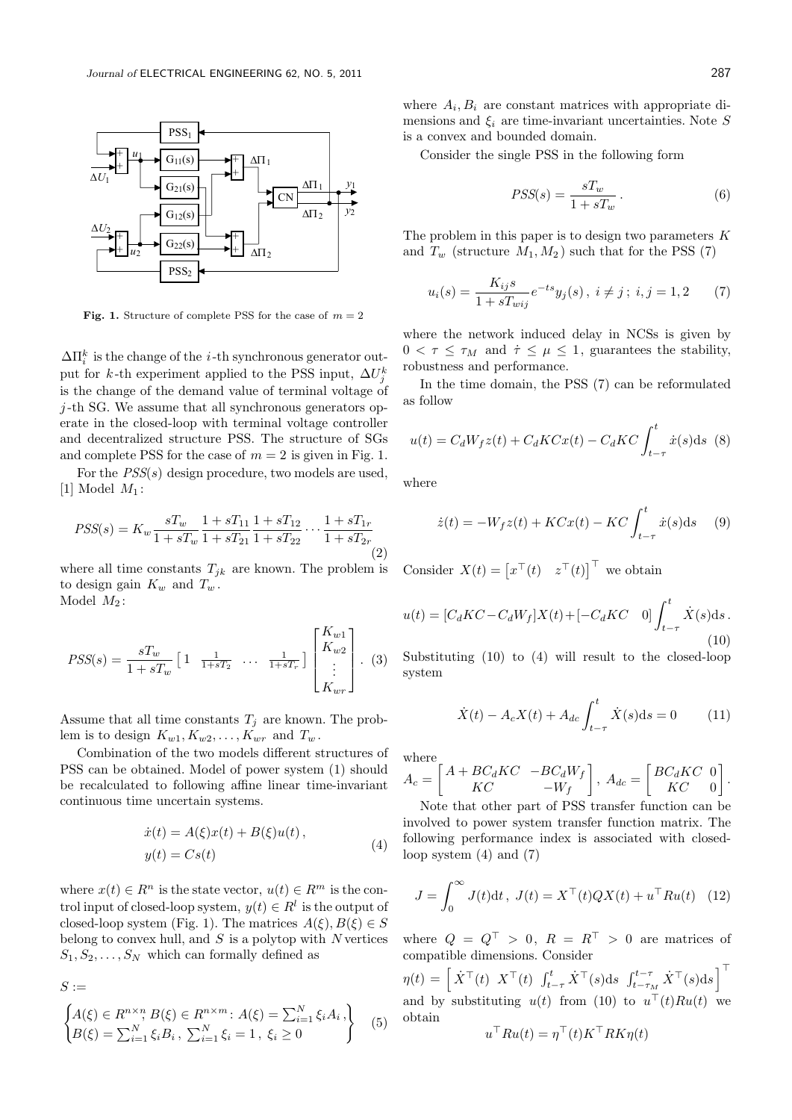

**Fig. 1.** Structure of complete PSS for the case of  $m = 2$ 

 $\Delta \Pi_i^k$  is the change of the *i*-th synchronous generator output for *k*-th experiment applied to the PSS input,  $\Delta U_j^k$ is the change of the demand value of terminal voltage of *j* -th SG. We assume that all synchronous generators operate in the closed-loop with terminal voltage controller and decentralized structure PSS. The structure of SGs and complete PSS for the case of  $m = 2$  is given in Fig. 1.

For the *PSS*(*s*) design procedure, two models are used, [1] Model  $M_1$ :

$$
PSS(s) = K_w \frac{sT_w}{1 + sT_w} \frac{1 + sT_{11}}{1 + sT_{21}} \frac{1 + sT_{12}}{1 + sT_{22}} \cdots \frac{1 + sT_{1r}}{1 + sT_{2r}} \tag{2}
$$

where all time constants  $T_{jk}$  are known. The problem is Consider  $X(t) = \begin{bmatrix} x^{\top}(t) & z^{\top}(t) \end{bmatrix}^{\top}$  we obtain to design gain  $K_w$  and  $T_w$ . Model  $M_2$ :

$$
PSS(s) = \frac{sT_w}{1 + sT_w} \begin{bmatrix} 1 & \frac{1}{1 + sT_2} & \cdots & \frac{1}{1 + sT_r} \end{bmatrix} \begin{bmatrix} K_{w1} \\ K_{w2} \\ \vdots \\ K_{wr} \end{bmatrix} . \tag{3}
$$

Assume that all time constants  $T_j$  are known. The problem is to design  $K_{w1}, K_{w2}, \ldots, K_{wr}$  and  $T_w$ .

Combination of the two models different structures of PSS can be obtained. Model of power system (1) should be recalculated to following affine linear time-invariant continuous time uncertain systems.

$$
\begin{aligned} \dot{x}(t) &= A(\xi)x(t) + B(\xi)u(t) \,, \\ y(t) &= Cs(t) \end{aligned} \tag{4}
$$

where  $x(t) \in R^n$  is the state vector,  $u(t) \in R^m$  is the control input of closed-loop system,  $y(t) \in R^l$  is the output of closed-loop system (Fig. 1). The matrices  $A(\xi), B(\xi) \in S$ belong to convex hull, and *S* is a polytop with *N* vertices  $S_1, S_2, \ldots, S_N$  which can formally defined as

 $S :=$ 

$$
\begin{cases} A(\xi) \in R^{n \times n}, B(\xi) \in R^{n \times m}: A(\xi) = \sum_{i=1}^{N} \xi_i A_i, \\ B(\xi) = \sum_{i=1}^{N} \xi_i B_i, \sum_{i=1}^{N} \xi_i = 1, \ \xi_i \ge 0 \end{cases}
$$
 (5)

where  $A_i, B_i$  are constant matrices with appropriate dimensions and  $\xi_i$  are time-invariant uncertainties. Note *S* is a convex and bounded domain.

Consider the single PSS in the following form

$$
PSS(s) = \frac{sT_w}{1 + sT_w} \,. \tag{6}
$$

The problem in this paper is to design two parameters *K* and  $T_w$  (structure  $M_1, M_2$ ) such that for the PSS (7)

$$
u_i(s) = \frac{K_{ij}s}{1 + sT_{wij}} e^{-ts} y_j(s), \ i \neq j; \ i, j = 1, 2 \tag{7}
$$

where the network induced delay in NCSs is given by  $0 < \tau \leq \tau_M$  and  $\dot{\tau} \leq \mu \leq 1$ , guarantees the stability, robustness and performance.

In the time domain, the PSS (7) can be reformulated as follow

$$
u(t) = C_d W_f z(t) + C_d K C x(t) - C_d K C \int_{t-\tau}^t \dot{x}(s) \, \mathrm{d}s \tag{8}
$$

where

$$
\dot{z}(t) = -W_f z(t) + KCx(t) - KC \int_{t-\tau}^t \dot{x}(s)ds \quad (9)
$$

$$
u(t) = [C_d K C - C_d W_f]X(t) + [-C_d K C \quad 0] \int_{t-\tau}^t \dot{X}(s) \, \mathrm{d}s \,. \tag{10}
$$

Substituting (10) to (4) will result to the closed-loop system

$$
\dot{X}(t) - A_c X(t) + A_{dc} \int_{t-\tau}^{t} \dot{X}(s) \, \mathrm{d}s = 0 \tag{11}
$$

where

$$
A_c = \begin{bmatrix} A + BC_dKC & -BC_dW_f \\ KC & -W_f \end{bmatrix}, A_{dc} = \begin{bmatrix} BC_dKC & 0 \\ KC & 0 \end{bmatrix}.
$$

Note that other part of PSS transfer function can be involved to power system transfer function matrix. The following performance index is associated with closedloop system (4) and (7)

$$
J = \int_0^\infty J(t)dt, \ J(t) = X^\top(t)QX(t) + u^\top Ru(t) \quad (12)
$$

where  $Q = Q^{\dagger} > 0$ ,  $R = R^{\dagger} > 0$  are matrices of compatible dimensions. Consider

 $\eta(t) = \left[ \dot{X}^{\top}(t) \ X^{\top}(t) \ \int_{t-\tau}^{t} \dot{X}^{\top}(s) \mathrm{d}s \ \int_{t-\tau_M}^{t-\tau} \dot{X}^{\top}(s) \mathrm{d}s \right]^{\top}$ and by substituting  $u(t)$  from (10) to  $u^+(t)Ru(t)$  we obtain

$$
u^{\top}Ru(t) = \eta^{\top}(t)K^{\top}RK\eta(t)
$$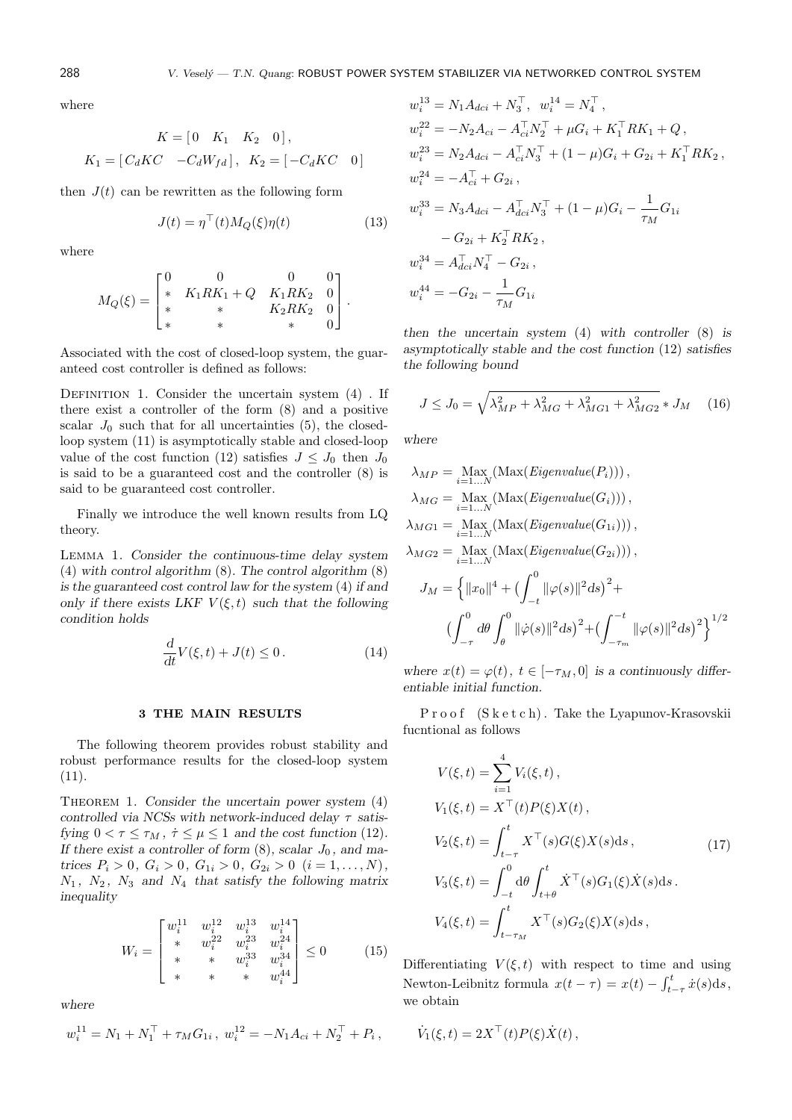where

$$
K = [0 \quad K_1 \quad K_2 \quad 0],
$$
  

$$
K_1 = [C_d K C \quad -C_d W_{fd}], \quad K_2 = [-C_d K C \quad 0]
$$

then  $J(t)$  can be rewritten as the following form

$$
J(t) = \eta^{\top}(t)M_Q(\xi)\eta(t)
$$
\n(13)

where

$$
M_Q(\xi) = \begin{bmatrix} 0 & 0 & 0 & 0 \\ * & K_1 R K_1 + Q & K_1 R K_2 & 0 \\ * & * & K_2 R K_2 & 0 \\ * & * & * & * & 0 \end{bmatrix}.
$$

Associated with the cost of closed-loop system, the guaranteed cost controller is defined as follows:

DEFINITION 1. Consider the uncertain system  $(4)$ . If there exist a controller of the form (8) and a positive scalar  $J_0$  such that for all uncertainties  $(5)$ , the closedloop system (11) is asymptotically stable and closed-loop value of the cost function (12) satisfies  $J \leq J_0$  then  $J_0$ is said to be a guaranteed cost and the controller (8) is said to be guaranteed cost controller.

Finally we introduce the well known results from LQ theory.

Lemma 1. *Consider the continuous-time delay system* (4) *with control algorithm* (8)*. The control algorithm* (8) *is the guaranteed cost control law for the system* (4) *if and only if there exists LKF*  $V(\xi, t)$  *such that the following condition holds*

$$
\frac{d}{dt}V(\xi, t) + J(t) \le 0.
$$
\n(14)

#### **3 THE MAIN RESULTS**

The following theorem provides robust stability and robust performance results for the closed-loop system (11).

THEOREM 1. *Consider the uncertain power system* (4) *controlled via NCSs with network-induced delay τ satisfying*  $0 < \tau \leq \tau_M$ ,  $\dot{\tau} \leq \mu \leq 1$  *and the cost function* (12)*.* If there exist a controller of form  $(8)$ *, scalar*  $J_0$ *, and matrices*  $P_i > 0$ *,*  $G_i > 0$ *,*  $G_{1i} > 0$ *,*  $G_{2i} > 0$  (*i* = 1*, . . . , N*)*, N*<sup>1</sup> *, N*<sup>2</sup> *, N*<sup>3</sup> *and N*<sup>4</sup> *that satisfy the following matrix inequality*

$$
W_{i} = \begin{bmatrix} w_{i}^{11} & w_{i}^{12} & w_{i}^{13} & w_{i}^{14} \\ * & w_{i}^{22} & w_{i}^{23} & w_{i}^{24} \\ * & * & w_{i}^{33} & w_{i}^{34} \\ * & * & * & w_{i}^{44} \end{bmatrix} \leq 0
$$
 (15)

*where*

$$
w_i^{11} = N_1 + N_1^{\top} + \tau_M G_{1i}, \ w_i^{12} = -N_1 A_{ci} + N_2^{\top} + P_i,
$$

$$
w_i^{13} = N_1 A_{dci} + N_3^{\top}, \quad w_i^{14} = N_4^{\top},
$$
  
\n
$$
w_i^{22} = -N_2 A_{ci} - A_{ci}^{\top} N_2^{\top} + \mu G_i + K_1^{\top} R K_1 + Q,
$$
  
\n
$$
w_i^{23} = N_2 A_{dci} - A_{ci}^{\top} N_3^{\top} + (1 - \mu) G_i + G_{2i} + K_1^{\top} R K_2,
$$
  
\n
$$
w_i^{24} = -A_{ci}^{\top} + G_{2i},
$$
  
\n
$$
w_i^{33} = N_3 A_{dci} - A_{dci}^{\top} N_3^{\top} + (1 - \mu) G_i - \frac{1}{\tau_M} G_{1i}
$$
  
\n
$$
- G_{2i} + K_2^{\top} R K_2,
$$
  
\n
$$
w_i^{34} = A_{dci}^{\top} N_4^{\top} - G_{2i},
$$
  
\n
$$
w_i^{44} = -G_{2i} - \frac{1}{\tau_M} G_{1i}
$$

*then the uncertain system* (4) *with controller* (8) *is asymptotically stable and the cost function* (12) *satisfies the following bound*

$$
J \le J_0 = \sqrt{\lambda_{MP}^2 + \lambda_{MG}^2 + \lambda_{MG1}^2 + \lambda_{MG2}^2} * J_M \quad (16)
$$

*where*

$$
\lambda_{MP} = \max_{i=1...N} (\text{Max}(Eigenvalue(P_i))),
$$
  
\n
$$
\lambda_{MG} = \max_{i=1...N} (\text{Max}(Eigenvalue(G_i))),
$$
  
\n
$$
\lambda_{MG1} = \max_{i=1...N} (\text{Max}(Eigenvalue(G_{1i}))),
$$
  
\n
$$
\lambda_{MG2} = \max_{i=1...N} (\text{Max}(Eigenvalue(G_{2i}))),
$$
  
\n
$$
J_M = \left\{ ||x_0||^4 + \left( \int_{-t}^0 ||\varphi(s)||^2 ds \right)^2 + \left( \int_{-\tau_m}^{-t} ||\varphi(s)||^2 ds \right)^2 \right\}^{1/2}
$$
  
\n
$$
\left( \int_{-\tau}^0 d\theta \int_{\theta}^0 ||\dot{\varphi}(s)||^2 ds \right)^2 + \left( \int_{-\tau_m}^{-t} ||\varphi(s)||^2 ds \right)^2 \right\}^{1/2}
$$

*where*  $x(t) = \varphi(t)$ *,*  $t \in [-\tau_M, 0]$  *is a continuously differentiable initial function.*

P r o o f (S k e t c h). Take the Lyapunov-Krasovskii fucntional as follows

$$
V(\xi, t) = \sum_{i=1}^{4} V_i(\xi, t),
$$
  
\n
$$
V_1(\xi, t) = X^{\top}(t) P(\xi) X(t),
$$
  
\n
$$
V_2(\xi, t) = \int_{t-\tau}^{t} X^{\top}(s) G(\xi) X(s) ds,
$$
  
\n
$$
V_3(\xi, t) = \int_{-t}^{0} d\theta \int_{t+\theta}^{t} \dot{X}^{\top}(s) G_1(\xi) \dot{X}(s) ds.
$$
  
\n
$$
V_4(\xi, t) = \int_{t-\tau_M}^{t} X^{\top}(s) G_2(\xi) X(s) ds,
$$

Differentiating  $V(\xi, t)$  with respect to time and using Newton-Leibnitz formula  $x(t - \tau) = x(t) - \int_{t-\tau}^{t} \dot{x}(s) ds$ , we obtain

$$
\dot{V}_1(\xi,t) = 2X^\top(t)P(\xi)\dot{X}(t)\,,
$$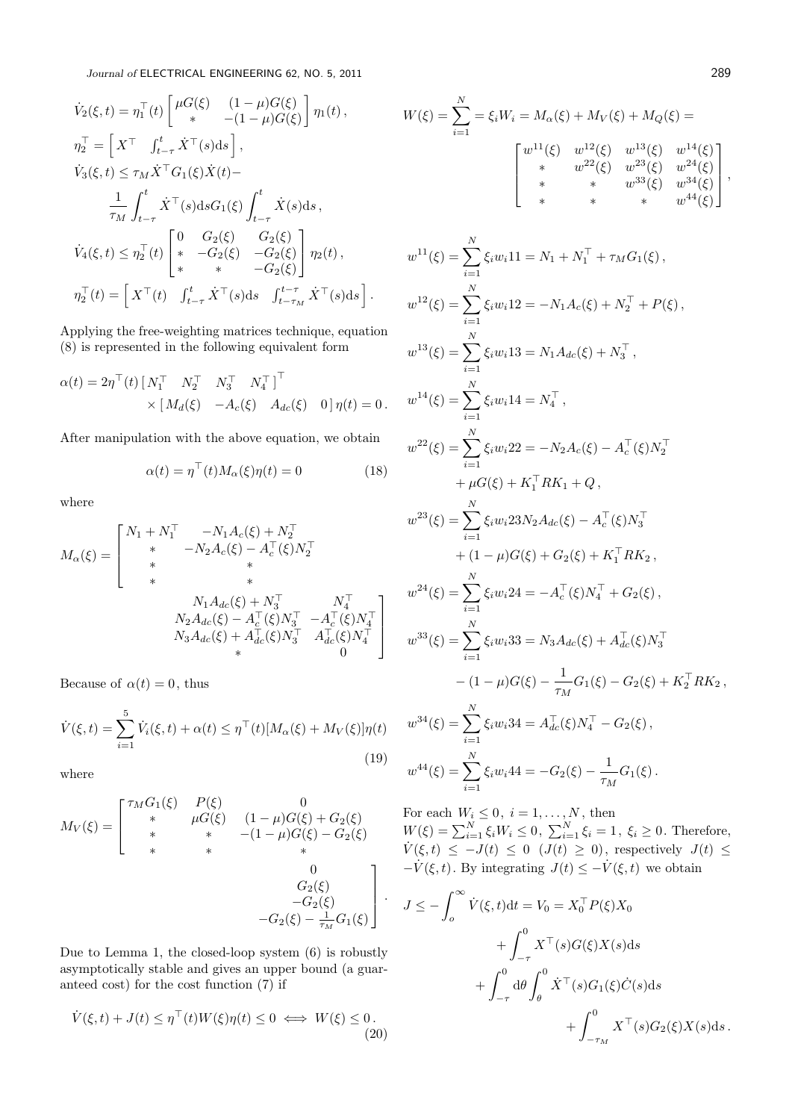*Journal of* ELECTRICAL ENGINEERING 62, NO. 5, 2011 289

$$
\dot{V}_{2}(\xi, t) = \eta_{1}^{\top}(t) \begin{bmatrix} \mu G(\xi) & (1 - \mu)G(\xi) \\ * & -(1 - \mu)G(\xi) \end{bmatrix} \eta_{1}(t),
$$
\n
$$
\eta_{2}^{\top} = \begin{bmatrix} X^{\top} & f_{t-\tau}^{t} \dot{X}^{\top}(s) \text{d}s \end{bmatrix},
$$
\n
$$
\dot{V}_{3}(\xi, t) \leq \tau_{M} \dot{X}^{\top} G_{1}(\xi) \dot{X}(t) -
$$
\n
$$
\frac{1}{\tau_{M}} \int_{t-\tau}^{t} \dot{X}^{\top}(s) \text{d}s G_{1}(\xi) \int_{t-\tau}^{t} \dot{X}(s) \text{d}s,
$$
\n
$$
\dot{V}_{4}(\xi, t) \leq \eta_{2}^{\top}(t) \begin{bmatrix} 0 & G_{2}(\xi) & G_{2}(\xi) \\ * & -G_{2}(\xi) & -G_{2}(\xi) \\ * & * & -G_{2}(\xi) \end{bmatrix} \eta_{2}(t),
$$
\n
$$
\eta_{2}^{\top}(t) = \begin{bmatrix} X^{\top}(t) & \int_{t-\tau}^{t} \dot{X}^{\top}(s) \text{d}s & \int_{t-\tau_{M}}^{t-\tau} \dot{X}^{\top}(s) \text{d}s \end{bmatrix}.
$$

Applying the free-weighting matrices technique, equation (8) is represented in the following equivalent form

$$
\alpha(t) = 2\eta^{\top}(t) \begin{bmatrix} N_1^{\top} & N_2^{\top} & N_3^{\top} & N_4^{\top} \end{bmatrix}^{\top}
$$

$$
\times \begin{bmatrix} M_d(\xi) & -A_c(\xi) & A_{dc}(\xi) & 0 \end{bmatrix} \eta(t) = 0.
$$

After manipulation with the above equation, we obtain

$$
\alpha(t) = \eta^{\top}(t)M_{\alpha}(\xi)\eta(t) = 0 \qquad (18)
$$

where

$$
M_{\alpha}(\xi) = \begin{bmatrix} N_1 + N_1^{\top} & -N_1 A_c(\xi) + N_2^{\top} \\ * & -N_2 A_c(\xi) - A_c^{\top}(\xi) N_2^{\top} \\ * & * & * \\ * & * & N_1 A_{dc}(\xi) + N_3^{\top} & N_4^{\top} \\ N_2 A_{dc}(\xi) - A_c^{\top}(\xi) N_3^{\top} & -A_c^{\top}(\xi) N_4^{\top} \\ N_3 A_{dc}(\xi) + A_{dc}^{\top}(\xi) N_3^{\top} & A_{dc}^{\top}(\xi) N_4^{\top} \\ * & 0 \end{bmatrix}
$$

Because of  $\alpha(t) = 0$ , thus

$$
\dot{V}(\xi, t) = \sum_{i=1}^{5} \dot{V}_i(\xi, t) + \alpha(t) \le \eta^{T}(t) [M_{\alpha}(\xi) + M_{V}(\xi)] \eta(t)
$$
\n(19)

where

$$
M_V(\xi) = \begin{bmatrix} \tau_M G_1(\xi) & P(\xi) & 0 \\ * & \mu G(\xi) & (1 - \mu)G(\xi) + G_2(\xi) \\ * & * & -(1 - \mu)G(\xi) - G_2(\xi) \\ * & * & * & 0 \\ 0 & G_2(\xi) & -G_2(\xi) \\ -G_2(\xi) - \frac{1}{\tau_M} G_1(\xi) \end{bmatrix}.
$$

Due to Lemma 1, the closed-loop system (6) is robustly asymptotically stable and gives an upper bound (a guaranteed cost) for the cost function (7) if

$$
\dot{V}(\xi, t) + J(t) \le \eta^{\top}(t)W(\xi)\eta(t) \le 0 \iff W(\xi) \le 0.
$$
\n(20)

$$
W(\xi) = \sum_{i=1}^{N} = \xi_i W_i = M_\alpha(\xi) + M_V(\xi) + M_Q(\xi) =
$$

$$
\begin{bmatrix} w^{11}(\xi) & w^{12}(\xi) & w^{13}(\xi) & w^{14}(\xi) \\ * & w^{22}(\xi) & w^{23}(\xi) & w^{24}(\xi) \end{bmatrix}
$$

$$
\begin{bmatrix}\n * & w^{22}(\xi) & w^{23}(\xi) & w^{24}(\xi) \\
* & * & w^{33}(\xi) & w^{34}(\xi) \\
* & * & * & w^{44}(\xi)\n\end{bmatrix},
$$

$$
w^{11}(\xi) = \sum_{i=1}^{N} \xi_i w_i 11 = N_1 + N_1^{\top} + \tau_M G_1(\xi),
$$
  
\n
$$
w^{12}(\xi) = \sum_{i=1}^{N} \xi_i w_i 12 = -N_1 A_c(\xi) + N_2^{\top} + P(\xi),
$$
  
\n
$$
w^{13}(\xi) = \sum_{i=1}^{N} \xi_i w_i 13 = N_1 A_{dc}(\xi) + N_3^{\top},
$$
  
\n
$$
w^{14}(\xi) = \sum_{i=1}^{N} \xi_i w_i 14 = N_4^{\top},
$$
  
\n
$$
w^{22}(\xi) = \sum_{i=1}^{N} \xi_i w_i 22 = -N_2 A_c(\xi) - A_c^{\top}(\xi) N_2^{\top} + \mu G(\xi) + K_1^{\top} R K_1 + Q,
$$
  
\n
$$
w^{23}(\xi) = \sum_{i=1}^{N} \xi_i w_i 23 N_2 A_{dc}(\xi) - A_c^{\top}(\xi) N_3^{\top} + (1 - \mu) G(\xi) + G_2(\xi) + K_1^{\top} R K_2,
$$
  
\n
$$
w^{24}(\xi) = \sum_{i=1}^{N} \xi_i w_i 24 = -A_c^{\top}(\xi) N_4^{\top} + G_2(\xi),
$$
  
\n
$$
w^{33}(\xi) = \sum_{i=1}^{N} \xi_i w_i 33 = N_3 A_{dc}(\xi) + A_{dc}^{\top}(\xi) N_3^{\top} - (1 - \mu) G(\xi) - \frac{1}{\tau_M} G_1(\xi) - G_2(\xi) + K_2^{\top} R K_2,
$$
  
\n
$$
w^{34}(\xi) = \sum_{i=1}^{N} \xi_i w_i 34 = A_{dc}^{\top}(\xi) N_4^{\top} - G_2(\xi),
$$
  
\n
$$
w^{44}(\xi) = \sum_{i=1}^{N} \xi_i w_i 44 = -G_2(\xi) - \frac{1}{\tau_M} G_1(\xi).
$$

For each  $W_i \leq 0$ ,  $i = 1, ..., N$ , then  $W(\xi) = \sum_{i=1}^{N} \xi_i W_i \leq 0, \ \sum_{i=1}^{N} \xi_i = 1, \ \xi_i \geq 0.$  Therefore,  $\dot{V}(\xi, t) \leq -J(t) \leq 0$  (*J*(*t*)  $\geq 0$ ), respectively  $J(t) \leq$  $-V(\xi, t)$ . By integrating  $J(t) \leq -V(\xi, t)$  we obtain

$$
J \leq -\int_{o}^{\infty} \dot{V}(\xi, t) dt = V_0 = X_0^{\top} P(\xi) X_0
$$
  
+ 
$$
\int_{-\tau}^{0} X^{\top}(s) G(\xi) X(s) ds
$$
  
+ 
$$
\int_{-\tau}^{0} d\theta \int_{\theta}^{0} \dot{X}^{\top}(s) G_1(\xi) \dot{C}(s) ds
$$
  
+ 
$$
\int_{-\tau_M}^{0} X^{\top}(s) G_2(\xi) X(s) ds.
$$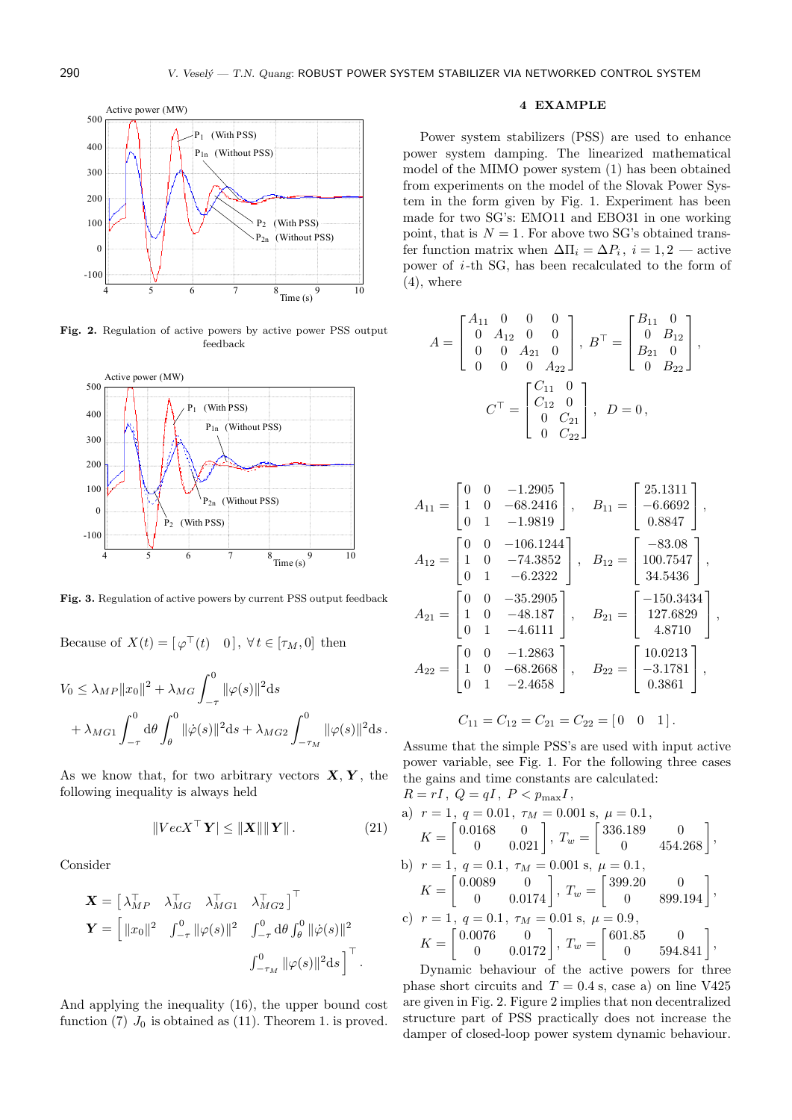

**Fig. 2.** Regulation of active powers by active power PSS output feedback



**Fig. 3.** Regulation of active powers by current PSS output feedback

Because of  $X(t) = [\varphi^{\top}(t) \quad 0], \forall t \in [\tau_M, 0]$  then

$$
V_0 \leq \lambda_{MP} \|x_0\|^2 + \lambda_{MG} \int_{-\tau}^0 \|\varphi(s)\|^2 ds + \lambda_{MG1} \int_{-\tau}^0 d\theta \int_{\theta}^0 \|\dot{\varphi}(s)\|^2 ds + \lambda_{MG2} \int_{-\tau_M}^0 \|\varphi(s)\|^2 ds.
$$

As we know that, for two arbitrary vectors *X, Y* , the following inequality is always held

$$
||\mathbf{V}ec\mathbf{X}^{\top}\mathbf{Y}| \le ||\mathbf{X}|| ||\mathbf{Y}||. \tag{21}
$$

Consider

$$
\mathbf{X} = \begin{bmatrix} \lambda_{MP}^{\top} & \lambda_{MG}^{\top} & \lambda_{MG1}^{\top} & \lambda_{MG2}^{\top} \end{bmatrix}^{\top} \n\mathbf{Y} = \begin{bmatrix} ||x_0||^2 & \int_{-\tau}^0 ||\varphi(s)||^2 & \int_{-\tau}^0 d\theta \int_{\theta}^0 ||\dot{\varphi}(s)||^2 \\ & \int_{-\tau_M}^0 ||\varphi(s)||^2 ds \end{bmatrix}^{\top}.
$$

And applying the inequality (16), the upper bound cost function  $(7)$  *J*<sub>0</sub> is obtained as  $(11)$ . Theorem 1. is proved.

## **4 EXAMPLE**

Power system stabilizers (PSS) are used to enhance power system damping. The linearized mathematical model of the MIMO power system (1) has been obtained from experiments on the model of the Slovak Power System in the form given by Fig. 1. Experiment has been made for two SG's: EMO11 and EBO31 in one working point, that is  $N = 1$ . For above two SG's obtained transfer function matrix when  $\Delta \Pi_i = \Delta P_i$ ,  $i = 1, 2$  — active power of *i*-th SG, has been recalculated to the form of  $(4)$ , where

$$
A = \begin{bmatrix} A_{11} & 0 & 0 & 0 \\ 0 & A_{12} & 0 & 0 \\ 0 & 0 & A_{21} & 0 \\ 0 & 0 & 0 & A_{22} \end{bmatrix}, B^{\top} = \begin{bmatrix} B_{11} & 0 \\ 0 & B_{12} \\ B_{21} & 0 \\ 0 & B_{22} \end{bmatrix},
$$

$$
C^{\top} = \begin{bmatrix} C_{11} & 0 \\ C_{12} & 0 \\ 0 & C_{21} \\ 0 & C_{22} \end{bmatrix}, D = 0,
$$

$$
A_{11} = \begin{bmatrix} 0 & 0 & -1.2905 \\ 1 & 0 & -68.2416 \\ 0 & 1 & -1.9819 \end{bmatrix}, \quad B_{11} = \begin{bmatrix} 25.1311 \\ -6.6692 \\ 0.8847 \end{bmatrix},
$$
  
\n
$$
A_{12} = \begin{bmatrix} 0 & 0 & -106.1244 \\ 1 & 0 & -74.3852 \\ 0 & 1 & -6.2322 \end{bmatrix}, \quad B_{12} = \begin{bmatrix} -83.08 \\ 100.7547 \\ 34.5436 \end{bmatrix},
$$
  
\n
$$
A_{21} = \begin{bmatrix} 0 & 0 & -35.2905 \\ 1 & 0 & -48.187 \\ 0 & 1 & -4.6111 \end{bmatrix}, \quad B_{21} = \begin{bmatrix} -150.3434 \\ 127.6829 \\ 4.8710 \end{bmatrix},
$$
  
\n
$$
A_{22} = \begin{bmatrix} 0 & 0 & -1.2863 \\ 1 & 0 & -68.2668 \\ 0 & 1 & -2.4658 \end{bmatrix}, \quad B_{22} = \begin{bmatrix} 10.0213 \\ -3.1781 \\ 0.3861 \end{bmatrix},
$$

$$
C_{11} = C_{12} = C_{21} = C_{22} = [0 \ 0 \ 1].
$$

Assume that the simple PSS's are used with input active power variable, see Fig. 1. For the following three cases the gains and time constants are calculated:  $R = rI$   $Q = qI$   $P < n$ 

a) 
$$
r = 1, q = 0.01, \tau_M = 0.001 \text{ s}, \mu = 0.1,
$$
  
\n
$$
K = \begin{bmatrix} 0.0168 & 0 \\ 0 & 0.021 \end{bmatrix}, T_w = \begin{bmatrix} 336.189 & 0 \\ 0 & 454.268 \end{bmatrix},
$$
\nb)  $r = 1, q = 0.1, \tau_M = 0.001 \text{ s}, \mu = 0.1,$   
\n
$$
K = \begin{bmatrix} 0.0089 & 0 \\ 0 & 0.0174 \end{bmatrix}, T_w = \begin{bmatrix} 399.20 & 0 \\ 0 & 899.194 \end{bmatrix},
$$
\nc)  $r = 1, q = 0.1, \tau_M = 0.01 \text{ s}, \mu = 0.9,$   
\n
$$
K = \begin{bmatrix} 0.0076 & 0 \\ 0 & 0.0172 \end{bmatrix}, T_w = \begin{bmatrix} 601.85 & 0 \\ 0 & 594.841 \end{bmatrix},
$$

Dynamic behaviour of the active powers for three phase short circuits and  $T = 0.4$  s, case a) on line V425 are given in Fig. 2. Figure 2 implies that non decentralized structure part of PSS practically does not increase the damper of closed-loop power system dynamic behaviour.